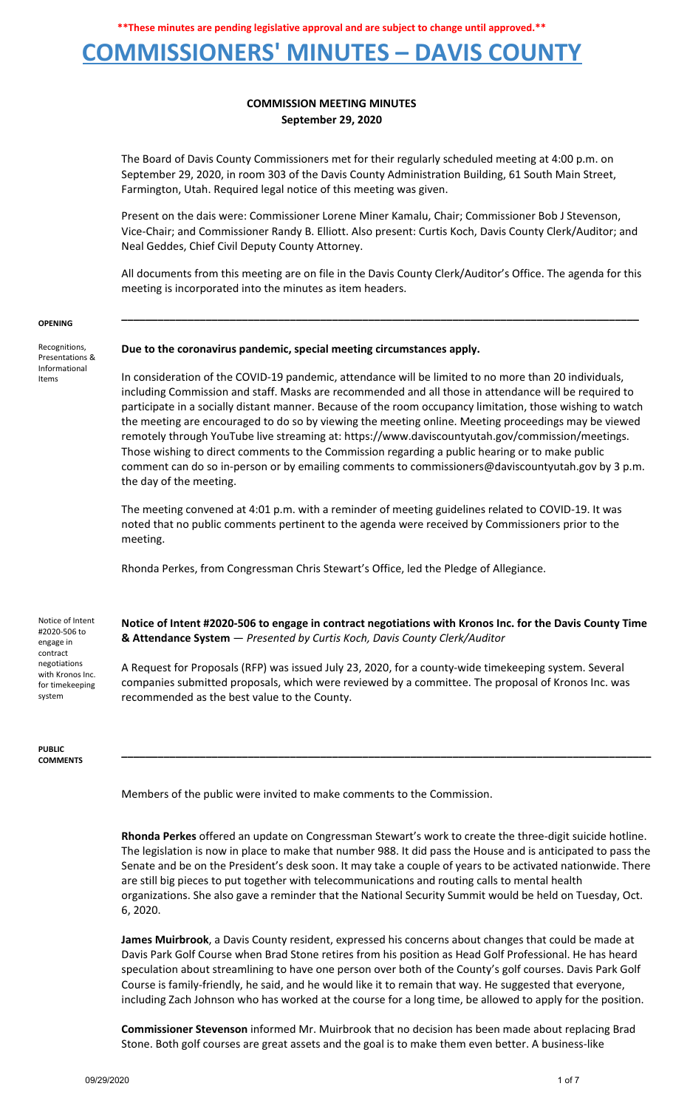### **COMMISSIONERS' MINUTES – DAVIS COUNTY**

### **COMMISSION MEETING MINUTES September 29, 2020**

The Board of Davis County Commissioners met for their regularly scheduled meeting at 4:00 p.m. on September 29, 2020, in room 303 of the Davis County Administration Building, 61 South Main Street, Farmington, Utah. Required legal notice of this meeting was given.

Present on the dais were: Commissioner Lorene Miner Kamalu, Chair; Commissioner Bob J Stevenson, Vice-Chair; and Commissioner Randy B. Elliott. Also present: Curtis Koch, Davis County Clerk/Auditor; and Neal Geddes, Chief Civil Deputy County Attorney.

All documents from this meeting are on file in the Davis County Clerk/Auditor's Office. The agenda for this meeting is incorporated into the minutes as item headers.

**\_\_\_\_\_\_\_\_\_\_\_\_\_\_\_\_\_\_\_\_\_\_\_\_\_\_\_\_\_\_\_\_\_\_\_\_\_\_\_\_\_\_\_\_\_\_\_\_\_\_\_\_\_\_\_\_\_\_\_\_\_\_\_\_\_\_\_\_\_\_\_\_\_\_\_\_\_\_\_\_\_\_\_\_\_\_**

#### **OPENING**

Recognitions, Presentations & Informational Items

### **Due to the coronavirus pandemic, special meeting circumstances apply.**

In consideration of the COVID-19 pandemic, attendance will be limited to no more than 20 individuals, including Commission and staff. Masks are recommended and all those in attendance will be required to participate in a socially distant manner. Because of the room occupancy limitation, those wishing to watch the meeting are encouraged to do so by viewing the meeting online. Meeting proceedings may be viewed remotely through YouTube live streaming at: https://www.daviscountyutah.gov/commission/meetings. Those wishing to direct comments to the Commission regarding a public hearing or to make public comment can do so in-person or by emailing comments to commissioners@daviscountyutah.gov by 3 p.m. the day of the meeting.

The meeting convened at 4:01 p.m. with a reminder of meeting guidelines related to COVID-19. It was noted that no public comments pertinent to the agenda were received by Commissioners prior to the meeting.

Rhonda Perkes, from Congressman Chris Stewart's Office, led the Pledge of Allegiance.

Notice of Intent #2020-506 to engage in contract negotiations with Kronos Inc. for timekeeping system

**PUBLIC COMMENTS** **Notice of Intent #2020-506 to engage in contract negotiations with Kronos Inc. for the Davis County Time & Attendance System** — *Presented by Curtis Koch, Davis County Clerk/Auditor*

A Request for Proposals (RFP) was issued July 23, 2020, for a county-wide timekeeping system. Several companies submitted proposals, which were reviewed by a committee. The proposal of Kronos Inc. was recommended as the best value to the County.

Members of the public were invited to make comments to the Commission.

**Rhonda Perkes** offered an update on Congressman Stewart's work to create the three-digit suicide hotline. The legislation is now in place to make that number 988. It did pass the House and is anticipated to pass the Senate and be on the President's desk soon. It may take a couple of years to be activated nationwide. There are still big pieces to put together with telecommunications and routing calls to mental health organizations. She also gave a reminder that the National Security Summit would be held on Tuesday, Oct. 6, 2020.

**\_\_\_\_\_\_\_\_\_\_\_\_\_\_\_\_\_\_\_\_\_\_\_\_\_\_\_\_\_\_\_\_\_\_\_\_\_\_\_\_\_\_\_\_\_\_\_\_\_\_\_\_\_\_\_\_\_\_\_\_\_\_\_\_\_\_\_\_\_\_\_\_\_\_\_\_\_\_\_\_\_\_\_\_\_\_\_\_**

**James Muirbrook**, a Davis County resident, expressed his concerns about changes that could be made at Davis Park Golf Course when Brad Stone retires from his position as Head Golf Professional. He has heard speculation about streamlining to have one person over both of the County's golf courses. Davis Park Golf Course is family-friendly, he said, and he would like it to remain that way. He suggested that everyone, including Zach Johnson who has worked at the course for a long time, be allowed to apply for the position.

**Commissioner Stevenson** informed Mr. Muirbrook that no decision has been made about replacing Brad Stone. Both golf courses are great assets and the goal is to make them even better. A business-like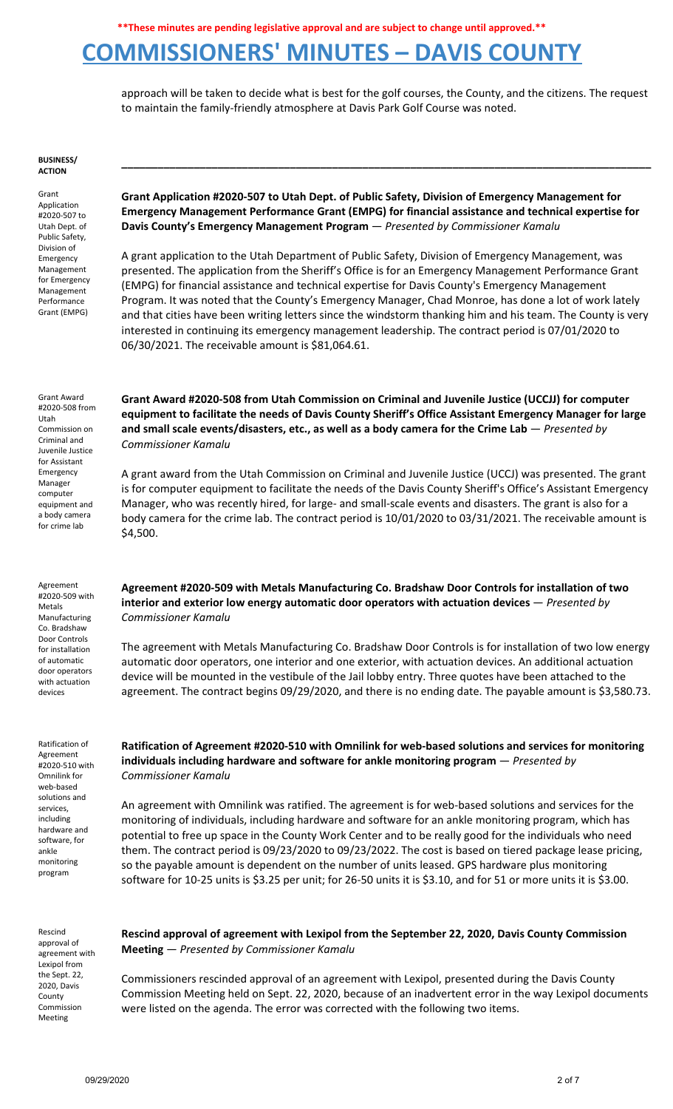### **COMMISSIONERS' MINUTES – DAVIS COUNTY**

approach will be taken to decide what is best for the golf courses, the County, and the citizens. The request to maintain the family-friendly atmosphere at Davis Park Golf Course was noted.

#### **BUSINESS/ ACTION**

Grant Application #2020-507 to Utah Dept. of Public Safety, Division of Emergency Management for Emergency Management Performance Grant (EMPG)

**Grant Application #2020-507 to Utah Dept. of Public Safety, Division of Emergency Management for Emergency Management Performance Grant (EMPG) for financial assistance and technical expertise for Davis County's Emergency Management Program** — *Presented by Commissioner Kamalu*

**\_\_\_\_\_\_\_\_\_\_\_\_\_\_\_\_\_\_\_\_\_\_\_\_\_\_\_\_\_\_\_\_\_\_\_\_\_\_\_\_\_\_\_\_\_\_\_\_\_\_\_\_\_\_\_\_\_\_\_\_\_\_\_\_\_\_\_\_\_\_\_\_\_\_\_\_\_\_\_\_\_\_\_\_\_\_\_\_**

A grant application to the Utah Department of Public Safety, Division of Emergency Management, was presented. The application from the Sheriff's Office is for an Emergency Management Performance Grant (EMPG) for financial assistance and technical expertise for Davis County's Emergency Management Program. It was noted that the County's Emergency Manager, Chad Monroe, has done a lot of work lately and that cities have been writing letters since the windstorm thanking him and his team. The County is very interested in continuing its emergency management leadership. The contract period is 07/01/2020 to 06/30/2021. The receivable amount is \$81,064.61.

Grant Award #2020-508 from Utah Commission on Criminal and Juvenile Justice for Assistant Emergency Manager computer equipment and a body camera for crime lab

Agreement #2020-509 with Metals Manufacturing Co. Bradshaw Door Controls for installation of automatic door operators with actuation devices

Ratification of Agreement #2020-510 with Omnilink for web-based solutions and services, including hardware and software, for ankle monitoring program

Rescind approval of agreement with Lexipol from the Sept. 22, 2020, Davis **County** Commission Meeting

**Grant Award #2020-508 from Utah Commission on Criminal and Juvenile Justice (UCCJJ) for computer equipment to facilitate the needs of Davis County Sheriff's Office Assistant Emergency Manager for large and small scale events/disasters, etc., as well as a body camera for the Crime Lab** — *Presented by Commissioner Kamalu*

A grant award from the Utah Commission on Criminal and Juvenile Justice (UCCJ) was presented. The grant is for computer equipment to facilitate the needs of the Davis County Sheriff's Office's Assistant Emergency Manager, who was recently hired, for large- and small-scale events and disasters. The grant is also for a body camera for the crime lab. The contract period is 10/01/2020 to 03/31/2021. The receivable amount is \$4,500.

**Agreement #2020-509 with Metals Manufacturing Co. Bradshaw Door Controls for installation of two interior and exterior low energy automatic door operators with actuation devices** — *Presented by Commissioner Kamalu*

The agreement with Metals Manufacturing Co. Bradshaw Door Controls is for installation of two low energy automatic door operators, one interior and one exterior, with actuation devices. An additional actuation device will be mounted in the vestibule of the Jail lobby entry. Three quotes have been attached to the agreement. The contract begins 09/29/2020, and there is no ending date. The payable amount is \$3,580.73.

**Ratification of Agreement #2020-510 with Omnilink for web-based solutions and services for monitoring individuals including hardware and software for ankle monitoring program** — *Presented by Commissioner Kamalu*

An agreement with Omnilink was ratified. The agreement is for web-based solutions and services for the monitoring of individuals, including hardware and software for an ankle monitoring program, which has potential to free up space in the County Work Center and to be really good for the individuals who need them. The contract period is 09/23/2020 to 09/23/2022. The cost is based on tiered package lease pricing, so the payable amount is dependent on the number of units leased. GPS hardware plus monitoring software for 10-25 units is \$3.25 per unit; for 26-50 units it is \$3.10, and for 51 or more units it is \$3.00.

**Rescind approval of agreement with Lexipol from the September 22, 2020, Davis County Commission Meeting** — *Presented by Commissioner Kamalu*

Commissioners rescinded approval of an agreement with Lexipol, presented during the Davis County Commission Meeting held on Sept. 22, 2020, because of an inadvertent error in the way Lexipol documents were listed on the agenda. The error was corrected with the following two items.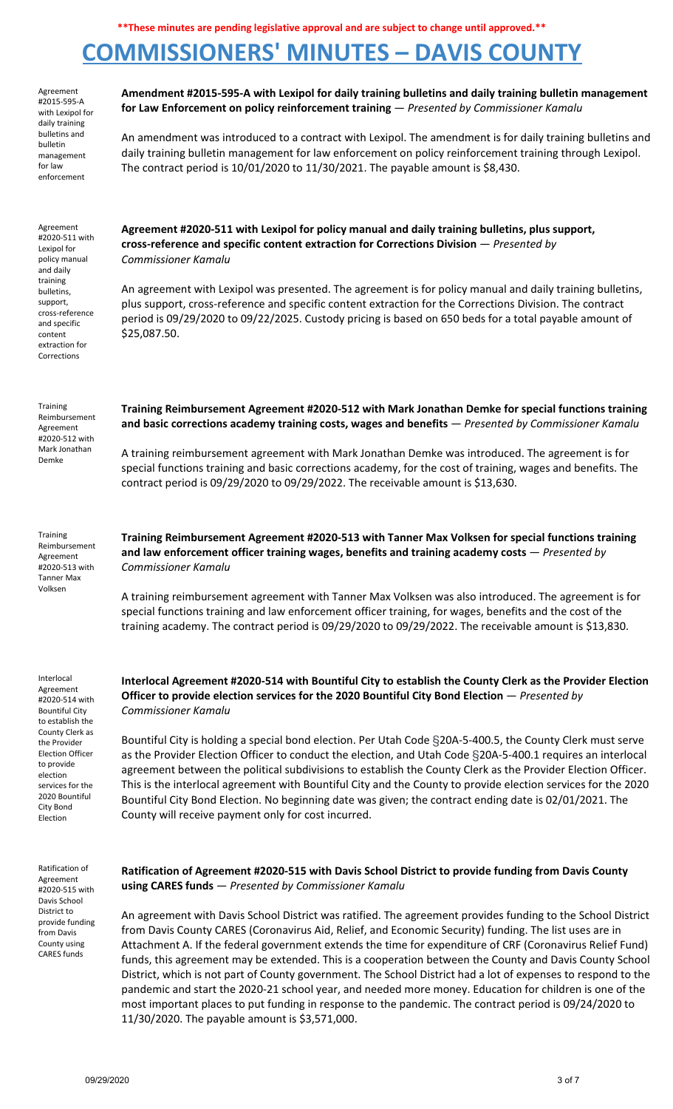# **COMMISSIONERS' MINUTES – DAVIS COUNTY**

Agreement #2015-595-A with Lexipol for daily training bulletins and bulletin management for law enforcement

### **Amendment #2015-595-A with Lexipol for daily training bulletins and daily training bulletin management for Law Enforcement on policy reinforcement training** — *Presented by Commissioner Kamalu*

An amendment was introduced to a contract with Lexipol. The amendment is for daily training bulletins and daily training bulletin management for law enforcement on policy reinforcement training through Lexipol. The contract period is 10/01/2020 to 11/30/2021. The payable amount is \$8,430.

Agreement #2020-511 with Lexipol for policy manual and daily training bulletins, support, cross-reference and specific content extraction for Corrections

Training Reimbursement Agreement #2020-512 with Mark Jonathan Demke

**Agreement #2020-511 with Lexipol for policy manual and daily training bulletins, plus support, cross-reference and specific content extraction for Corrections Division** — *Presented by Commissioner Kamalu*

An agreement with Lexipol was presented. The agreement is for policy manual and daily training bulletins, plus support, cross-reference and specific content extraction for the Corrections Division. The contract period is 09/29/2020 to 09/22/2025. Custody pricing is based on 650 beds for a total payable amount of \$25,087.50.

**Training Reimbursement Agreement #2020-512 with Mark Jonathan Demke for special functions training and basic corrections academy training costs, wages and benefits** — *Presented by Commissioner Kamalu*

A training reimbursement agreement with Mark Jonathan Demke was introduced. The agreement is for special functions training and basic corrections academy, for the cost of training, wages and benefits. The contract period is 09/29/2020 to 09/29/2022. The receivable amount is \$13,630.

**Training** Reimbursement Agreement #2020-513 with Tanner Max Volksen

**Training Reimbursement Agreement #2020-513 with Tanner Max Volksen for special functions training and law enforcement officer training wages, benefits and training academy costs** — *Presented by Commissioner Kamalu*

A training reimbursement agreement with Tanner Max Volksen was also introduced. The agreement is for special functions training and law enforcement officer training, for wages, benefits and the cost of the training academy. The contract period is 09/29/2020 to 09/29/2022. The receivable amount is \$13,830.

**Interlocal Agreement #2020-514 with Bountiful City to establish the County Clerk as the Provider Election**

Interlocal

Agreement #2020-514 with Bountiful City to establish the County Clerk as the Provider Election Officer to provide election services for the 2020 Bountiful City Bond Election

*Commissioner Kamalu* Bountiful City is holding a special bond election. Per Utah Code §20A-5-400.5, the County Clerk must serve

**Officer to provide election services for the 2020 Bountiful City Bond Election** — *Presented by*

as the Provider Election Officer to conduct the election, and Utah Code §20A-5-400.1 requires an interlocal agreement between the political subdivisions to establish the County Clerk as the Provider Election Officer. This is the interlocal agreement with Bountiful City and the County to provide election services for the 2020 Bountiful City Bond Election. No beginning date was given; the contract ending date is 02/01/2021. The County will receive payment only for cost incurred.

Ratification of Agreement #2020-515 with Davis School District to provide funding from Davis County using CARES funds

**Ratification of Agreement #2020-515 with Davis School District to provide funding from Davis County using CARES funds** — *Presented by Commissioner Kamalu*

An agreement with Davis School District was ratified. The agreement provides funding to the School District from Davis County CARES (Coronavirus Aid, Relief, and Economic Security) funding. The list uses are in Attachment A. If the federal government extends the time for expenditure of CRF (Coronavirus Relief Fund) funds, this agreement may be extended. This is a cooperation between the County and Davis County School District, which is not part of County government. The School District had a lot of expenses to respond to the pandemic and start the 2020-21 school year, and needed more money. Education for children is one of the most important places to put funding in response to the pandemic. The contract period is 09/24/2020 to 11/30/2020. The payable amount is \$3,571,000.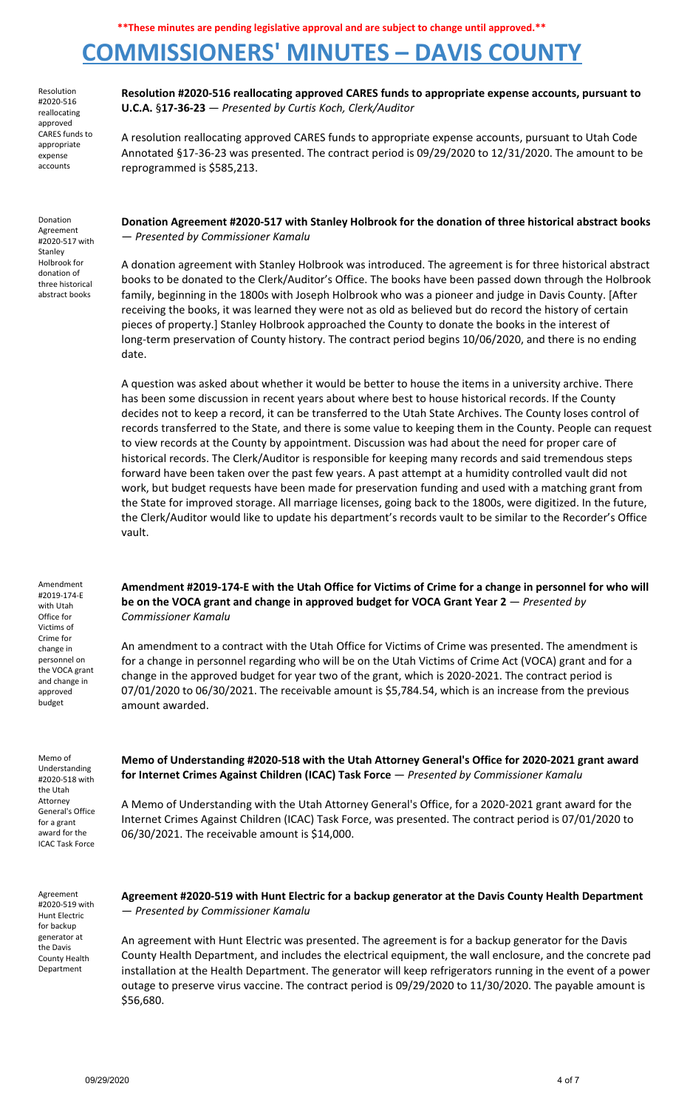## **COMMISSIONERS' MINUTES – DAVIS COUNTY**

Resolution #2020-516 reallocating approved CARES funds to appropriate expense accounts

Donation Agreement #2020-517 with Stanley Holbrook for donation of three historical abstract books

**Resolution #2020-516 reallocating approved CARES funds to appropriate expense accounts, pursuant to U.C.A.** §**17-36-23** — *Presented by Curtis Koch, Clerk/Auditor*

A resolution reallocating approved CARES funds to appropriate expense accounts, pursuant to Utah Code Annotated §17-36-23 was presented. The contract period is 09/29/2020 to 12/31/2020. The amount to be reprogrammed is \$585,213.

**Donation Agreement #2020-517 with Stanley Holbrook for the donation of three historical abstract books** — *Presented by Commissioner Kamalu*

A donation agreement with Stanley Holbrook was introduced. The agreement is for three historical abstract books to be donated to the Clerk/Auditor's Office. The books have been passed down through the Holbrook family, beginning in the 1800s with Joseph Holbrook who was a pioneer and judge in Davis County. [After receiving the books, it was learned they were not as old as believed but do record the history of certain pieces of property.] Stanley Holbrook approached the County to donate the books in the interest of long-term preservation of County history. The contract period begins 10/06/2020, and there is no ending date.

A question was asked about whether it would be better to house the items in a university archive. There has been some discussion in recent years about where best to house historical records. If the County decides not to keep a record, it can be transferred to the Utah State Archives. The County loses control of records transferred to the State, and there is some value to keeping them in the County. People can request to view records at the County by appointment. Discussion was had about the need for proper care of historical records. The Clerk/Auditor is responsible for keeping many records and said tremendous steps forward have been taken over the past few years. A past attempt at a humidity controlled vault did not work, but budget requests have been made for preservation funding and used with a matching grant from the State for improved storage. All marriage licenses, going back to the 1800s, were digitized. In the future, the Clerk/Auditor would like to update his department's records vault to be similar to the Recorder's Office vault.

Amendment #2019-174-E with Utah Office for Victims of Crime for change in personnel on the VOCA grant and change in approved budget

Memo of Understanding #2020-518 with the Utah Attorney General's Office for a grant award for the ICAC Task Force

Amendment #2019-174-E with the Utah Office for Victims of Crime for a change in personnel for who will **be on the VOCA grant and change in approved budget for VOCA Grant Year 2** — *Presented by Commissioner Kamalu*

An amendment to a contract with the Utah Office for Victims of Crime was presented. The amendment is for a change in personnel regarding who will be on the Utah Victims of Crime Act (VOCA) grant and for a change in the approved budget for year two of the grant, which is 2020-2021. The contract period is 07/01/2020 to 06/30/2021. The receivable amount is \$5,784.54, which is an increase from the previous amount awarded.

**Memo of Understanding #2020-518 with the Utah Attorney General's Office for 2020-2021 grant award for Internet Crimes Against Children (ICAC) Task Force** — *Presented by Commissioner Kamalu*

A Memo of Understanding with the Utah Attorney General's Office, for a 2020-2021 grant award for the Internet Crimes Against Children (ICAC) Task Force, was presented. The contract period is 07/01/2020 to 06/30/2021. The receivable amount is \$14,000.

Agreement #2020-519 with Hunt Electric for backup generator at the Davis County Health Department

**Agreement #2020-519 with Hunt Electric for a backup generator at the Davis County Health Department** — *Presented by Commissioner Kamalu*

An agreement with Hunt Electric was presented. The agreement is for a backup generator for the Davis County Health Department, and includes the electrical equipment, the wall enclosure, and the concrete pad installation at the Health Department. The generator will keep refrigerators running in the event of a power outage to preserve virus vaccine. The contract period is 09/29/2020 to 11/30/2020. The payable amount is \$56,680.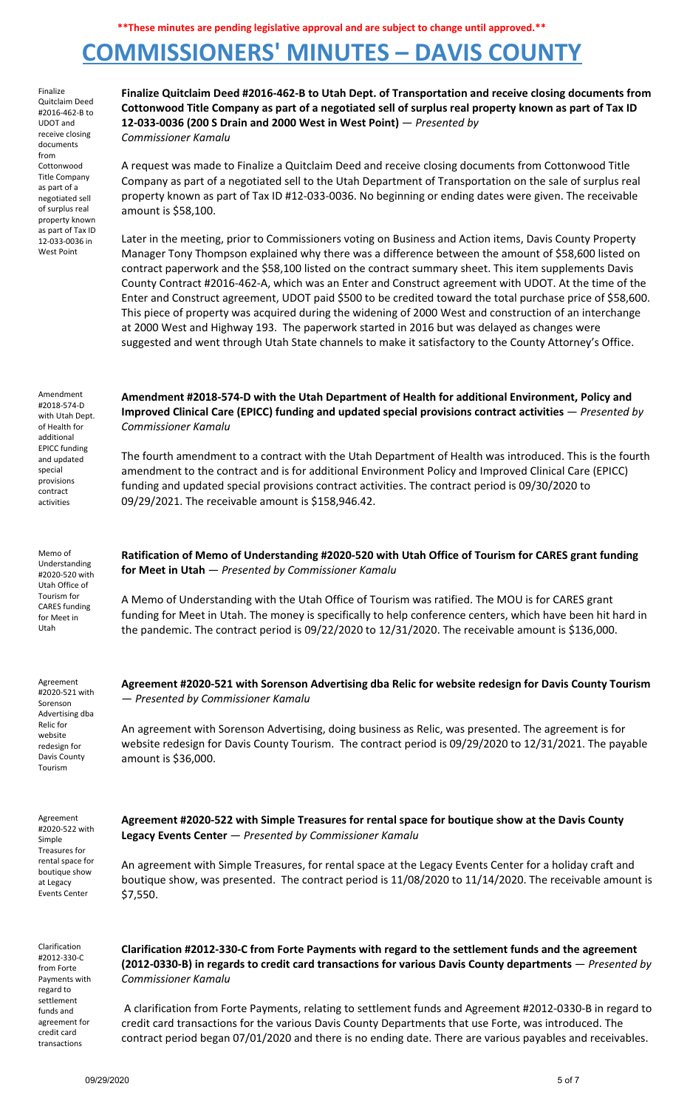## **COMMISSIONERS' MINUTES – DAVIS COUNTY**

Finalize Quitclaim Deed #2016-462-B to UDOT and receive closing documents from Cottonwood Title Company as part of a negotiated sell of surplus real property known as part of Tax ID 12-033-0036 in West Point **Finalize Quitclaim Deed #2016-462-B to Utah Dept. of Transportation and receive closing documents from** Cottonwood Title Company as part of a negotiated sell of surplus real property known as part of Tax ID **12-033-0036 (200 S Drain and 2000 West in West Point)** — *Presented by Commissioner Kamalu* A request was made to Finalize a Quitclaim Deed and receive closing documents from Cottonwood Title Company as part of a negotiated sell to the Utah Department of Transportation on the sale of surplus real property known as part of Tax ID #12-033-0036. No beginning or ending dates were given. The receivable amount is \$58,100. Later in the meeting, prior to Commissioners voting on Business and Action items, Davis County Property Manager Tony Thompson explained why there was a difference between the amount of \$58,600 listed on contract paperwork and the \$58,100 listed on the contract summary sheet. This item supplements Davis County Contract #2016-462-A, which was an Enter and Construct agreement with UDOT. At the time of the Enter and Construct agreement, UDOT paid \$500 to be credited toward the total purchase price of \$58,600. This piece of property was acquired during the widening of 2000 West and construction of an interchange at 2000 West and Highway 193. The paperwork started in 2016 but was delayed as changes were suggested and went through Utah State channels to make it satisfactory to the County Attorney's Office. Amendment #2018-574-D with Utah Dept. of Health for additional EPICC funding and updated special provisions contract activities **Amendment #2018-574-D with the Utah Department of Health for additional Environment, Policy and Improved Clinical Care (EPICC) funding and updated special provisions contract activities** — *Presented by Commissioner Kamalu* The fourth amendment to a contract with the Utah Department of Health was introduced. This is the fourth amendment to the contract and is for additional Environment Policy and Improved Clinical Care (EPICC) funding and updated special provisions contract activities. The contract period is 09/30/2020 to 09/29/2021. The receivable amount is \$158,946.42. Memo of Understanding #2020-520 with Utah Office of Tourism for CARES funding for Meet in Utah **Ratification of Memo of Understanding #2020-520 with Utah Office of Tourism for CARES grant funding for Meet in Utah** — *Presented by Commissioner Kamalu* A Memo of Understanding with the Utah Office of Tourism was ratified. The MOU is for CARES grant funding for Meet in Utah. The money is specifically to help conference centers, which have been hit hard in the pandemic. The contract period is 09/22/2020 to 12/31/2020. The receivable amount is \$136,000. Agreement #2020-521 with Sorenson Advertising dba Relic for website redesign for Davis County Tourism **Agreement #2020-521 with Sorenson Advertising dba Relic for website redesign for Davis County Tourism** — *Presented by Commissioner Kamalu* An agreement with Sorenson Advertising, doing business as Relic, was presented. The agreement is for website redesign for Davis County Tourism. The contract period is 09/29/2020 to 12/31/2021. The payable amount is \$36,000. Agreement #2020-522 with Simple Treasures for rental space for boutique show at Legacy Events Center **Agreement #2020-522 with Simple Treasures for rental space for boutique show at the Davis County Legacy Events Center** — *Presented by Commissioner Kamalu* An agreement with Simple Treasures, for rental space at the Legacy Events Center for a holiday craft and boutique show, was presented. The contract period is 11/08/2020 to 11/14/2020. The receivable amount is \$7,550. Clarification #2012-330-C from Forte Payments with regard to settlement funds and agreement for credit card transactions **Clarification #2012-330-C from Forte Payments with regard to the settlement funds and the agreement (2012-0330-B) in regards to credit card transactions for various Davis County departments** — *Presented by Commissioner Kamalu* A clarification from Forte Payments, relating to settlement funds and Agreement #2012-0330-B in regard to credit card transactions for the various Davis County Departments that use Forte, was introduced. The contract period began 07/01/2020 and there is no ending date. There are various payables and receivables.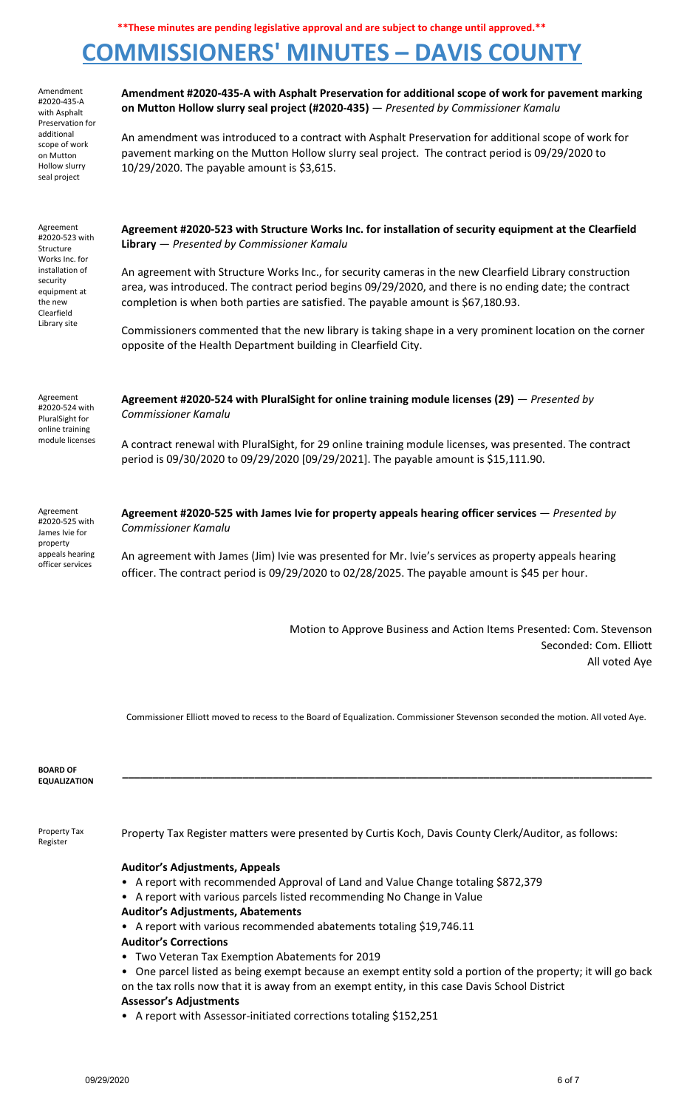# **COMMISSIONERS' MINUTES – DAVIS COUNTY**

Amendment #2020-435-A with Asphalt Preservation for additional scope of work on Mutton Hollow slurry seal project

**Amendment #2020-435-A with Asphalt Preservation for additional scope of work for pavement marking on Mutton Hollow slurry seal project (#2020-435)** — *Presented by Commissioner Kamalu*

An amendment was introduced to a contract with Asphalt Preservation for additional scope of work for pavement marking on the Mutton Hollow slurry seal project. The contract period is 09/29/2020 to 10/29/2020. The payable amount is \$3,615.

| Agreement<br>#2020-523 with<br>Structure<br>Works Inc. for<br>installation of<br>security<br>equipment at<br>the new<br>Clearfield<br>Library site | Agreement #2020-523 with Structure Works Inc. for installation of security equipment at the Clearfield<br>Library - Presented by Commissioner Kamalu<br>An agreement with Structure Works Inc., for security cameras in the new Clearfield Library construction |
|----------------------------------------------------------------------------------------------------------------------------------------------------|-----------------------------------------------------------------------------------------------------------------------------------------------------------------------------------------------------------------------------------------------------------------|
|                                                                                                                                                    | area, was introduced. The contract period begins 09/29/2020, and there is no ending date; the contract<br>completion is when both parties are satisfied. The payable amount is \$67,180.93.                                                                     |
|                                                                                                                                                    | Commissioners commented that the new library is taking shape in a very prominent location on the corner<br>opposite of the Health Department building in Clearfield City.                                                                                       |
| Agreement<br>#2020-524 with<br>PluralSight for<br>online training                                                                                  | Agreement #2020-524 with PluralSight for online training module licenses (29) $-$ Presented by<br>Commissioner Kamalu                                                                                                                                           |
| module licenses                                                                                                                                    | A contract renewal with PluralSight, for 29 online training module licenses, was presented. The contract<br>period is 09/30/2020 to 09/29/2020 [09/29/2021]. The payable amount is \$15,111.90.                                                                 |

Agreement #2020-525 with James Ivie for property appeals hearing officer services

**Agreement #2020-525 with James Ivie for property appeals hearing officer services** — *Presented by Commissioner Kamalu*

An agreement with James (Jim) Ivie was presented for Mr. Ivie's services as property appeals hearing officer. The contract period is 09/29/2020 to 02/28/2025. The payable amount is \$45 per hour.

> Motion to Approve Business and Action Items Presented: Com. Stevenson Seconded: Com. Elliott All voted Aye

Commissioner Elliott moved to recess to the Board of Equalization. Commissioner Stevenson seconded the motion. All voted Aye.

| <b>BOARD OF</b><br><b>EQUALIZATION</b> |                                                                                                                                                                                                     |
|----------------------------------------|-----------------------------------------------------------------------------------------------------------------------------------------------------------------------------------------------------|
| Property Tax<br>Register               | Property Tax Register matters were presented by Curtis Koch, Davis County Clerk/Auditor, as follows:                                                                                                |
|                                        | <b>Auditor's Adjustments, Appeals</b><br>• A report with recommended Approval of Land and Value Change totaling \$872,379<br>• A report with various parcels listed recommending No Change in Value |

- **Auditor's Adjustments, Abatements**
- A report with various recommended abatements totaling \$19,746.11
- **Auditor's Corrections**
- Two Veteran Tax Exemption Abatements for 2019

• One parcel listed as being exempt because an exempt entity sold a portion of the property; it will go back on the tax rolls now that it is away from an exempt entity, in this case Davis School District **Assessor's Adjustments**

• A report with Assessor-initiated corrections totaling \$152,251